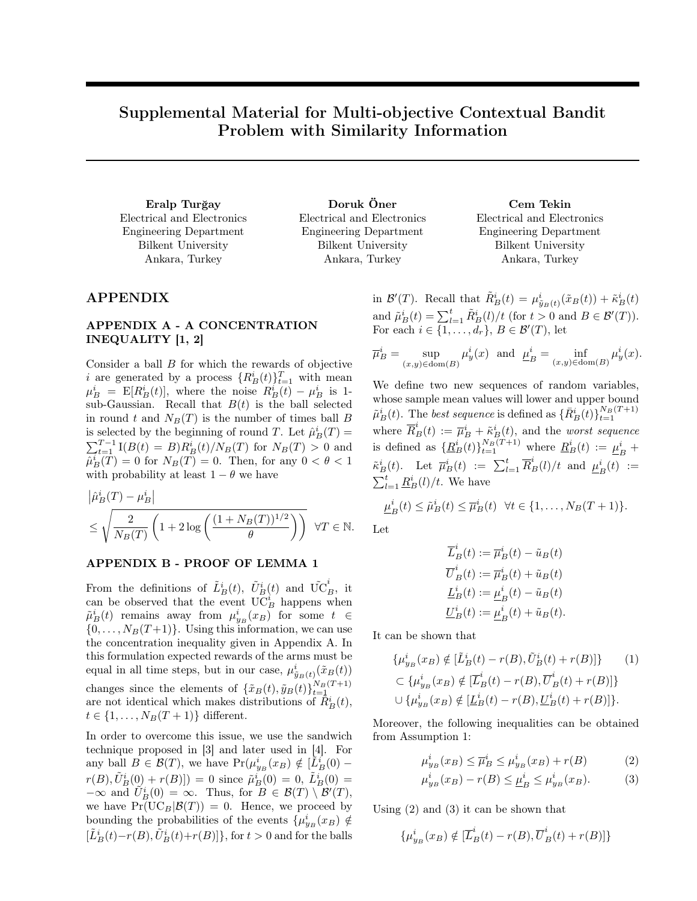# Supplemental Material for Multi-objective Contextual Bandit Problem with Similarity Information

Electrical and Electronics Engineering Department Bilkent University Ankara, Turkey

Eralp Turğay Doruk Öner Cem Tekin Electrical and Electronics Engineering Department Bilkent University Ankara, Turkey

Electrical and Electronics Engineering Department Bilkent University Ankara, Turkey

## APPENDIX

# APPENDIX A - A CONCENTRATION INEQUALITY [1, 2]

Consider a ball B for which the rewards of objective i are generated by a process  $\{R_B^i(t)\}_{t=1}^T$  with mean  $\mu_B^i = \mathbb{E}[R_B^i(t)],$  where the noise  $R_B^i(t) - \mu_B^i$  is 1sub-Gaussian. Recall that  $B(t)$  is the ball selected in round t and  $N_B(T)$  is the number of times ball B is selected by the beginning of round T. Let  $\hat{\mu}_B^i(T)$  =  $\sum_{t=1}^{T-1} I(B(t) = B) R_B^i(t) / N_B(T)$  for  $N_B(T) > 0$  and  $\hat{\mu}_B^i(\tilde{T}) = 0$  for  $N_B(T) = 0$ . Then, for any  $0 < \theta < 1$ with probability at least  $1 - \theta$  we have

$$
\left| \hat{\mu}_B^i(T) - \mu_B^i \right|
$$
  
\n
$$
\leq \sqrt{\frac{2}{N_B(T)} \left( 1 + 2 \log \left( \frac{(1 + N_B(T))^{1/2}}{\theta} \right) \right)}
$$
  $\forall T \in \mathbb{N}.$ 

### APPENDIX B - PROOF OF LEMMA 1

From the definitions of  $\tilde{L}_B^i(t)$ ,  $\tilde{U}_B^i(t)$  and  $\tilde{UC}_B^i$ , it can be observed that the event  $\tilde{\mathrm{UC}}_B^i$  happens when  $\tilde{\mu}_B^i(t)$  remains away from  $\mu_{y_B}^i(x_B)$  for some  $t \in$  $\{0, \ldots, N_B(T+1)\}.$  Using this information, we can use the concentration inequality given in Appendix A. In this formulation expected rewards of the arms must be equal in all time steps, but in our case,  $\mu_{\tilde{y}_B(t)}^i(\tilde{x}_B(t))$ changes since the elements of  $\{\tilde{x}_B(t), \tilde{y}_B(t)\}_{t=1}^{N_B(T+1)}$ are not identical which makes distributions of  $\hat{R}_{B}^{i}(t)$ ,  $t \in \{1, \ldots, N_B(T+1)\}\$  different.

In order to overcome this issue, we use the sandwich technique proposed in [3] and later used in [4]. For any ball  $B \in \mathcal{B}(T)$ , we have  $Pr(\mu_{y_B}^i(x_B) \notin [\tilde{L}_B^i(0)$  $r(B), \tilde{U}_{B}^{i}(0) + r(B)$ ]) = 0 since  $\tilde{\mu}_{B}^{i}(0) = 0, \tilde{L}_{B}^{i}(0) = 0$  $-\infty$  and  $\widetilde{U}_B^i(0) = \infty$ . Thus, for  $B \in \mathcal{B}(T) \setminus \mathcal{B}'(T)$ , we have  $Pr(UC_B|\mathcal{B}(T)) = 0$ . Hence, we proceed by bounding the probabilities of the events  $\{\mu_{y_B}^i(x_B) \notin$  $[\tilde{L}_B^i(t)-r(B),\tilde{U}_B^i(t)+r(B)]\},$  for  $t>0$  and for the balls

in  $\mathcal{B}'(T)$ . Recall that  $\tilde{R}_{B}^{i}(t) = \mu_{\tilde{y}_{B}(t)}^{i}(\tilde{x}_{B}(t)) + \tilde{\kappa}_{B}^{i}(t)$ and  $\tilde{\mu}_B^i(t) = \sum_{l=1}^t \tilde{R}_B^i(l)/t$  (for  $t > 0$  and  $B \in \mathcal{B}'(T)$ ). For each  $i \in \{1, \ldots, d_r\}, B \in \mathcal{B}'(T)$ , let

$$
\overline{\mu}_B^i = \sup_{(x,y)\in \text{dom}(B)} \mu_y^i(x) \text{ and } \underline{\mu}_B^i = \inf_{(x,y)\in \text{dom}(B)} \mu_y^i(x).
$$

We define two new sequences of random variables, whose sample mean values will lower and upper bound  $\tilde{\mu}_B^i(t)$ . The best sequence is defined as  $\{\bar{R}_B^i(t)\}_{t=1}^{N_B(T+1)}$ where  $\overline{R}_{B}^{i}(t) := \overline{\mu}_{B}^{i} + \tilde{\kappa}_{B}^{i}(t)$ , and the *worst sequence* is defined as  $\{\underline{R}_{B}^{i}(t)\}_{t=1}^{N_{B}(T+1)}$  where  $\underline{R}_{B}^{i}(t) := \underline{\mu}_{I}^{i}$  $\frac{i}{B}$  +  $\tilde{\kappa}_B^i(t)$ . Let  $\overline{\mu}_B^i(t) := \sum_{l=1}^t \overline{R}_B^i(l)/t$  and  $\underline{\mu}_I^i$  $\frac{i}{B}(t) :=$  $\sum_{l=1}^t \underline{R}_B^i(l)/t$ . We have

$$
\underline{\mu}_B^i(t) \leq \tilde{\mu}_B^i(t) \leq \overline{\mu}_B^i(t) \quad \forall t \in \{1, \dots, N_B(T+1)\}.
$$

Let

$$
\overline{L}_B^i(t) := \overline{\mu}_B^i(t) - \tilde{u}_B(t)
$$

$$
\overline{U}_B^i(t) := \overline{\mu}_B^i(t) + \tilde{u}_B(t)
$$

$$
\underline{L}_B^i(t) := \underline{\mu}_B^i(t) - \tilde{u}_B(t)
$$

$$
\underline{U}_B^i(t) := \underline{\mu}_B^i(t) + \tilde{u}_B(t).
$$

It can be shown that

$$
\{\mu_{y_B}^i(x_B) \notin [\tilde{L}_B^i(t) - r(B), \tilde{U}_B^i(t) + r(B)]\} \qquad (1)
$$
  
\n
$$
\subset \{\mu_{y_B}^i(x_B) \notin [\tilde{L}_B^i(t) - r(B), \overline{U}_B^i(t) + r(B)]\}
$$
  
\n
$$
\cup \{\mu_{y_B}^i(x_B) \notin [\underline{L}_B^i(t) - r(B), \underline{U}_B^i(t) + r(B)]\}.
$$

Moreover, the following inequalities can be obtained from Assumption 1:

$$
\mu_{y_B}^i(x_B) \le \overline{\mu}_B^i \le \mu_{y_B}^i(x_B) + r(B) \tag{2}
$$

$$
\mu_{y_B}^i(x_B) - r(B) \le \underline{\mu}_B^i \le \mu_{y_B}^i(x_B).
$$
 (3)

Using (2) and (3) it can be shown that

$$
\{\mu_{y_B}^i(x_B) \notin [\overline{L}_B^i(t) - r(B), \overline{U}_B^i(t) + r(B)]\}
$$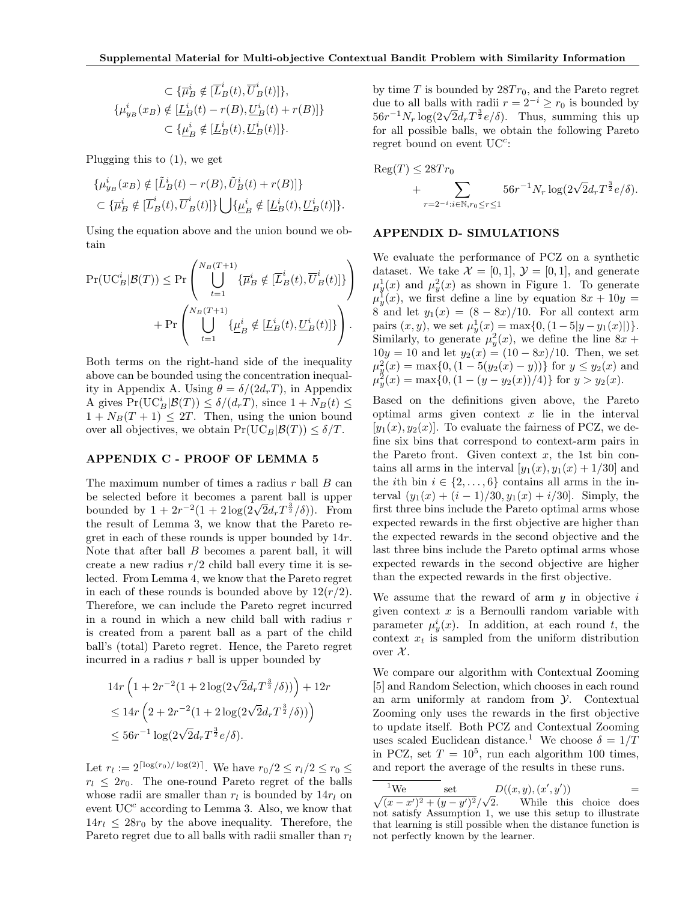$$
\subset \{\overline{\mu}_B^i \notin [\overline{L}_B^i(t), \overline{U}_B^i(t)]\},\
$$

$$
\{\mu_{y_B}^i(x_B) \notin [\underline{L}_B^i(t) - r(B), \underline{U}_B^i(t) + r(B)]\}
$$

$$
\subset \{\underline{\mu}_B^i \notin [\underline{L}_B^i(t), \underline{U}_B^i(t)]\}.
$$

Plugging this to (1), we get

$$
\{\mu_{y_B}^i(x_B) \notin [\tilde{L}_B^i(t) - r(B), \tilde{U}_B^i(t) + r(B)]\}
$$
  

$$
\subset {\overline{\mu}_B^i \notin [\overline{L}_B^i(t), \overline{U}_B^i(t)]\} \bigcup {\underline{\mu}_B^i \notin [\underline{L}_B^i(t), \underline{U}_B^i(t)]\}}.
$$

Using the equation above and the union bound we obtain

$$
\Pr(\text{UC}_B^i|\mathcal{B}(T)) \le \Pr\left(\bigcup_{t=1}^{N_B(T+1)} \{\overline{\mu}_B^i \notin [\overline{L}_B^i(t), \overline{U}_B^i(t)]\}\right) + \Pr\left(\bigcup_{t=1}^{N_B(T+1)} \{\underline{\mu}_B^i \notin [\underline{L}_B^i(t), \underline{U}_B^i(t)]\}\right).
$$

Both terms on the right-hand side of the inequality above can be bounded using the concentration inequality in Appendix A. Using  $\theta = \delta/(2d_rT)$ , in Appendix A gives  $Pr(\mathrm{UC}_B^i|\mathcal{B}(T)) \le \delta/(d_rT)$ , since  $1 + N_B(t) \le$  $1 + N_B(T + 1) \leq 2T$ . Then, using the union bound over all objectives, we obtain  $Pr(\mathrm{UC}_B|\mathcal{B}(T)) \leq \delta/T$ .

#### APPENDIX C - PROOF OF LEMMA 5

The maximum number of times a radius  $r$  ball  $B$  can be selected before it becomes a parent ball is upper bounded by  $1 + 2r^{-2}(1 + 2\log(2\sqrt{2}d_rT^{\frac{3}{2}}/\delta))$ . From the result of Lemma 3, we know that the Pareto regret in each of these rounds is upper bounded by 14r. Note that after ball  $B$  becomes a parent ball, it will create a new radius  $r/2$  child ball every time it is selected. From Lemma 4, we know that the Pareto regret in each of these rounds is bounded above by  $12(r/2)$ . Therefore, we can include the Pareto regret incurred in a round in which a new child ball with radius  $r$ is created from a parent ball as a part of the child ball's (total) Pareto regret. Hence, the Pareto regret incurred in a radius r ball is upper bounded by

$$
14r\left(1+2r^{-2}(1+2\log(2\sqrt{2}d_rT^{\frac{3}{2}}/\delta))\right)+12r
$$
  
\n
$$
\leq 14r\left(2+2r^{-2}(1+2\log(2\sqrt{2}d_rT^{\frac{3}{2}}/\delta))\right)
$$
  
\n
$$
\leq 56r^{-1}\log(2\sqrt{2}d_rT^{\frac{3}{2}}\epsilon/\delta).
$$

Let  $r_l := 2^{\lceil \log(r_0)/\log(2) \rceil}$ . We have  $r_0/2 \le r_l/2 \le r_0 \le$  $r_l \leq 2r_0$ . The one-round Pareto regret of the balls whose radii are smaller than  $r_l$  is bounded by  $14r_l$  on event  $UC^c$  according to Lemma 3. Also, we know that  $14r_l \leq 28r_0$  by the above inequality. Therefore, the Pareto regret due to all balls with radii smaller than  $r_l$ 

by time  $T$  is bounded by  $28Tr_0$ , and the Pareto regret due to all balls with radii  $r = 2^{-i} \ge r_0$  is bounded by due to all balls with radii  $r = 2 \degree \ge r_0$  is bounded by<br>56 $r^{-1}N_r \log(2\sqrt{2}d_rT^{\frac{3}{2}}e/\delta)$ . Thus, summing this up for all possible balls, we obtain the following Pareto regret bound on event  $UC<sup>c</sup>$ :

$$
\text{Reg}(T) \le 28Tr_0 + \sum_{r=2^{-i}: i \in \mathbb{N}, r_0 \le r \le 1} 56r^{-1} N_r \log(2\sqrt{2}d_r T^{\frac{3}{2}} e/\delta).
$$

#### APPENDIX D- SIMULATIONS

We evaluate the performance of PCZ on a synthetic dataset. We take  $\mathcal{X} = [0, 1], \mathcal{Y} = [0, 1],$  and generate  $\mu_y^1(x)$  and  $\mu_y^2(x)$  as shown in Figure 1. To generate  $\mu_y^{\mathbf{I}}(x)$ , we first define a line by equation  $8x + 10y =$ 8 and let  $y_1(x) = (8 - 8x)/10$ . For all context arm pairs  $(x, y)$ , we set  $\mu_y^1(x) = \max\{0, (1 - 5|y - y_1(x)|)\}.$ Similarly, to generate  $\mu_y^2(x)$ , we define the line  $8x +$  $10y = 10$  and let  $y_2(x) = (10 - 8x)/10$ . Then, we set  $\mu_y^2(x) = \max\{0, (1 - 5(y_2(x) - y))\}$  for  $y \le y_2(x)$  and  $\mu_y^2(x) = \max\{0, (1 - (y - y_2(x))/4)\}\$ for  $y > y_2(x)$ .

Based on the definitions given above, the Pareto optimal arms given context  $x$  lie in the interval  $[y_1(x), y_2(x)]$ . To evaluate the fairness of PCZ, we define six bins that correspond to context-arm pairs in the Pareto front. Given context  $x$ , the 1st bin contains all arms in the interval  $[y_1(x), y_1(x) + 1/30]$  and the *i*th bin  $i \in \{2, ..., 6\}$  contains all arms in the interval  $(y_1(x) + (i - 1)/30, y_1(x) + i/30]$ . Simply, the first three bins include the Pareto optimal arms whose expected rewards in the first objective are higher than the expected rewards in the second objective and the last three bins include the Pareto optimal arms whose expected rewards in the second objective are higher than the expected rewards in the first objective.

We assume that the reward of arm  $y$  in objective  $i$ given context  $x$  is a Bernoulli random variable with parameter  $\mu_y^i(x)$ . In addition, at each round t, the context  $x_t$  is sampled from the uniform distribution over  $\mathcal{X}$ .

We compare our algorithm with Contextual Zooming [5] and Random Selection, which chooses in each round an arm uniformly at random from Y. Contextual Zooming only uses the rewards in the first objective to update itself. Both PCZ and Contextual Zooming uses scaled Euclidean distance.<sup>1</sup> We choose  $\delta = 1/T$ in PCZ, set  $T = 10^5$ , run each algorithm 100 times, and report the average of the results in these runs.

<sup>&</sup>lt;sup>1</sup>We set  $D((x,y),(x',y'))$  = we set<br>  $\sqrt{(x-x')^2 + (y-y')^2}/\sqrt{2}$ 2. While this choice does not satisfy Assumption 1, we use this setup to illustrate that learning is still possible when the distance function is not perfectly known by the learner.